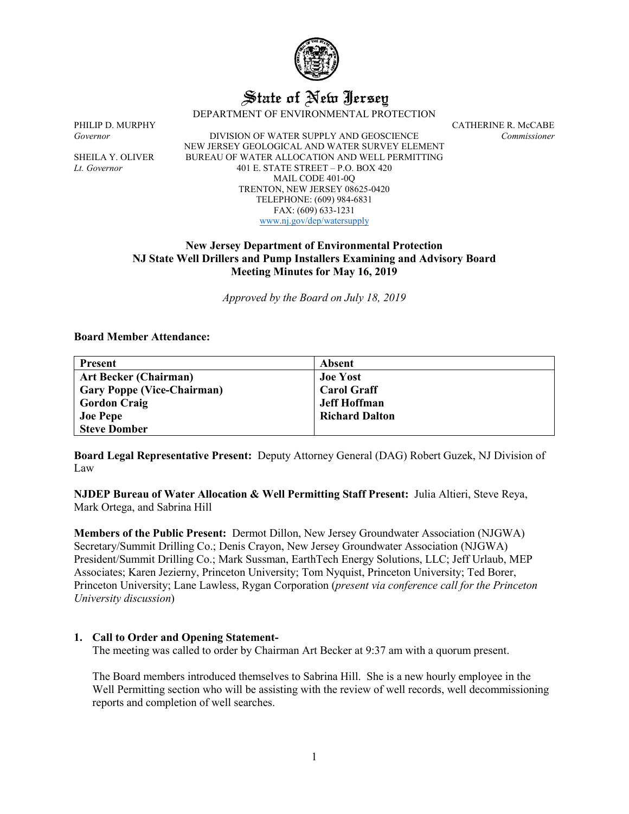

# State of New Jersey

DEPARTMENT OF ENVIRONMENTAL PROTECTION

PHILIP D. MURPHY CATHERINE R. McCABE<br>Governor DIVISION OF WATER SUPPLY AND GEOSCIENCE Commissioner *Governor* DIVISION OF WATER SUPPLY AND GEOSCIENCE *Commissioner* NEW JERSEY GEOLOGICAL AND WATER SURVEY ELEMENT SHEILA Y. OLIVER BUREAU OF WATER ALLOCATION AND WELL PERMITTING *Lt. Governor* 401 E. STATE STREET – P.O. BOX 420 MAIL CODE 401-0Q TRENTON, NEW JERSEY 08625-0420 TELEPHONE: (609) 984-6831 FAX: (609) 633-1231 [www.nj.gov/dep/watersupply](http://www.nj.gov/dep/watersupply)

# **New Jersey Department of Environmental Protection NJ State Well Drillers and Pump Installers Examining and Advisory Board Meeting Minutes for May 16, 2019**

*Approved by the Board on July 18, 2019*

#### **Board Member Attendance:**

| <b>Present</b>                    | Absent                |
|-----------------------------------|-----------------------|
| <b>Art Becker (Chairman)</b>      | <b>Joe Yost</b>       |
| <b>Gary Poppe (Vice-Chairman)</b> | <b>Carol Graff</b>    |
| <b>Gordon Craig</b>               | <b>Jeff Hoffman</b>   |
| <b>Joe Pepe</b>                   | <b>Richard Dalton</b> |
| <b>Steve Domber</b>               |                       |

**Board Legal Representative Present:** Deputy Attorney General (DAG) Robert Guzek, NJ Division of Law

**NJDEP Bureau of Water Allocation & Well Permitting Staff Present:** Julia Altieri, Steve Reya, Mark Ortega, and Sabrina Hill

**Members of the Public Present:** Dermot Dillon, New Jersey Groundwater Association (NJGWA) Secretary/Summit Drilling Co.; Denis Crayon, New Jersey Groundwater Association (NJGWA) President/Summit Drilling Co.; Mark Sussman, EarthTech Energy Solutions, LLC; Jeff Urlaub, MEP Associates; Karen Jezierny, Princeton University; Tom Nyquist, Princeton University; Ted Borer, Princeton University; Lane Lawless, Rygan Corporation (*present via conference call for the Princeton University discussion*)

#### **1. Call to Order and Opening Statement-**

The meeting was called to order by Chairman Art Becker at 9:37 am with a quorum present.

The Board members introduced themselves to Sabrina Hill. She is a new hourly employee in the Well Permitting section who will be assisting with the review of well records, well decommissioning reports and completion of well searches.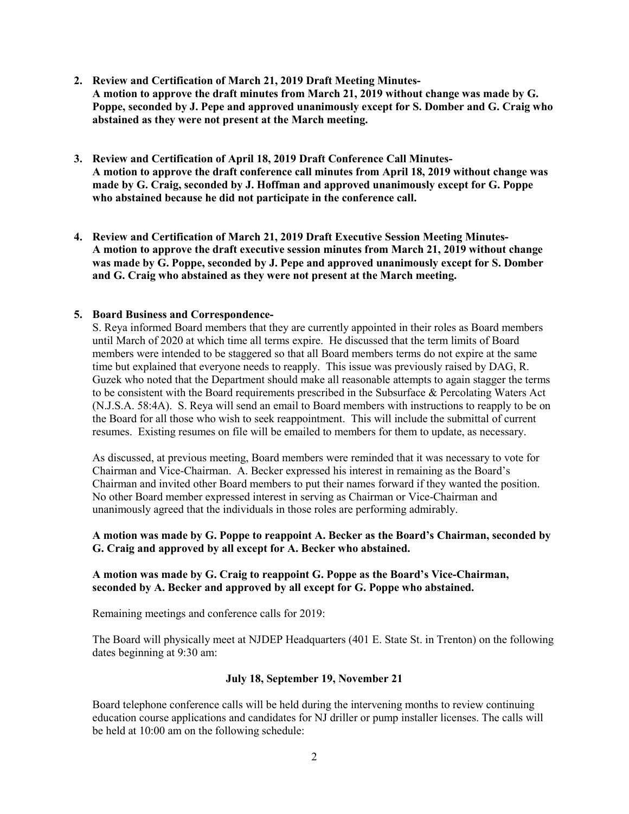- **2. Review and Certification of March 21, 2019 Draft Meeting Minutes-A motion to approve the draft minutes from March 21, 2019 without change was made by G. Poppe, seconded by J. Pepe and approved unanimously except for S. Domber and G. Craig who abstained as they were not present at the March meeting.**
- **3. Review and Certification of April 18, 2019 Draft Conference Call Minutes-A motion to approve the draft conference call minutes from April 18, 2019 without change was made by G. Craig, seconded by J. Hoffman and approved unanimously except for G. Poppe who abstained because he did not participate in the conference call.**
- **4. Review and Certification of March 21, 2019 Draft Executive Session Meeting Minutes-A motion to approve the draft executive session minutes from March 21, 2019 without change was made by G. Poppe, seconded by J. Pepe and approved unanimously except for S. Domber and G. Craig who abstained as they were not present at the March meeting.**

# **5. Board Business and Correspondence-**

S. Reya informed Board members that they are currently appointed in their roles as Board members until March of 2020 at which time all terms expire. He discussed that the term limits of Board members were intended to be staggered so that all Board members terms do not expire at the same time but explained that everyone needs to reapply. This issue was previously raised by DAG, R. Guzek who noted that the Department should make all reasonable attempts to again stagger the terms to be consistent with the Board requirements prescribed in the Subsurface & Percolating Waters Act (N.J.S.A. 58:4A). S. Reya will send an email to Board members with instructions to reapply to be on the Board for all those who wish to seek reappointment. This will include the submittal of current resumes. Existing resumes on file will be emailed to members for them to update, as necessary.

As discussed, at previous meeting, Board members were reminded that it was necessary to vote for Chairman and Vice-Chairman. A. Becker expressed his interest in remaining as the Board's Chairman and invited other Board members to put their names forward if they wanted the position. No other Board member expressed interest in serving as Chairman or Vice-Chairman and unanimously agreed that the individuals in those roles are performing admirably.

#### **A motion was made by G. Poppe to reappoint A. Becker as the Board's Chairman, seconded by G. Craig and approved by all except for A. Becker who abstained.**

# **A motion was made by G. Craig to reappoint G. Poppe as the Board's Vice-Chairman, seconded by A. Becker and approved by all except for G. Poppe who abstained.**

Remaining meetings and conference calls for 2019:

The Board will physically meet at NJDEP Headquarters (401 E. State St. in Trenton) on the following dates beginning at 9:30 am:

# **July 18, September 19, November 21**

Board telephone conference calls will be held during the intervening months to review continuing education course applications and candidates for NJ driller or pump installer licenses. The calls will be held at 10:00 am on the following schedule: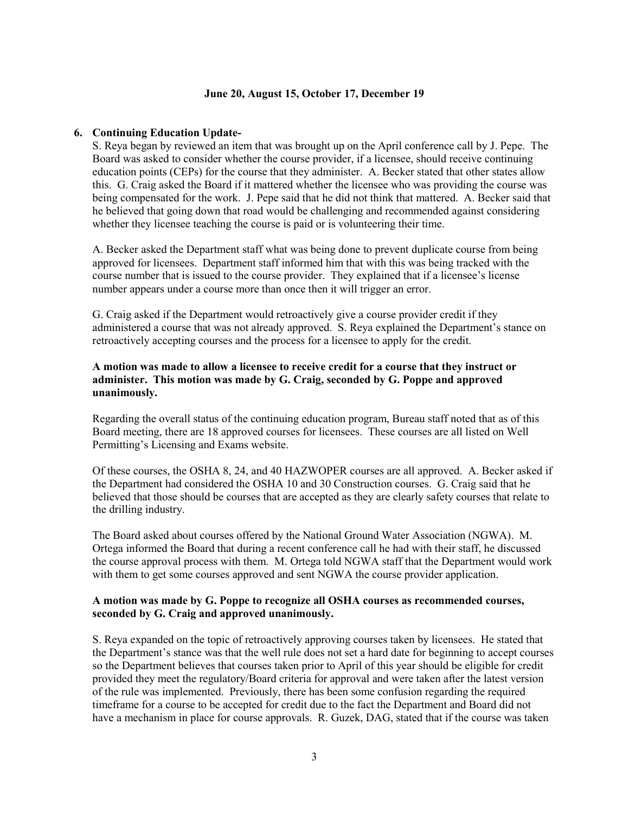#### **June 20, August 15, October 17, December 19**

#### **6. Continuing Education Update-**

S. Reya began by reviewed an item that was brought up on the April conference call by J. Pepe. The Board was asked to consider whether the course provider, if a licensee, should receive continuing education points (CEPs) for the course that they administer. A. Becker stated that other states allow this. G. Craig asked the Board if it mattered whether the licensee who was providing the course was being compensated for the work. J. Pepe said that he did not think that mattered. A. Becker said that he believed that going down that road would be challenging and recommended against considering whether they licensee teaching the course is paid or is volunteering their time.

A. Becker asked the Department staff what was being done to prevent duplicate course from being approved for licensees. Department staff informed him that with this was being tracked with the course number that is issued to the course provider. They explained that if a licensee's license number appears under a course more than once then it will trigger an error.

G. Craig asked if the Department would retroactively give a course provider credit if they administered a course that was not already approved. S. Reya explained the Department's stance on retroactively accepting courses and the process for a licensee to apply for the credit.

# **A motion was made to allow a licensee to receive credit for a course that they instruct or administer. This motion was made by G. Craig, seconded by G. Poppe and approved unanimously.**

Regarding the overall status of the continuing education program, Bureau staff noted that as of this Board meeting, there are 18 approved courses for licensees. These courses are all listed on Well Permitting's Licensing and Exams website.

Of these courses, the OSHA 8, 24, and 40 HAZWOPER courses are all approved. A. Becker asked if the Department had considered the OSHA 10 and 30 Construction courses. G. Craig said that he believed that those should be courses that are accepted as they are clearly safety courses that relate to the drilling industry.

The Board asked about courses offered by the National Ground Water Association (NGWA). M. Ortega informed the Board that during a recent conference call he had with their staff, he discussed the course approval process with them. M. Ortega told NGWA staff that the Department would work with them to get some courses approved and sent NGWA the course provider application.

#### **A motion was made by G. Poppe to recognize all OSHA courses as recommended courses, seconded by G. Craig and approved unanimously.**

S. Reya expanded on the topic of retroactively approving courses taken by licensees. He stated that the Department's stance was that the well rule does not set a hard date for beginning to accept courses so the Department believes that courses taken prior to April of this year should be eligible for credit provided they meet the regulatory/Board criteria for approval and were taken after the latest version of the rule was implemented. Previously, there has been some confusion regarding the required timeframe for a course to be accepted for credit due to the fact the Department and Board did not have a mechanism in place for course approvals. R. Guzek, DAG, stated that if the course was taken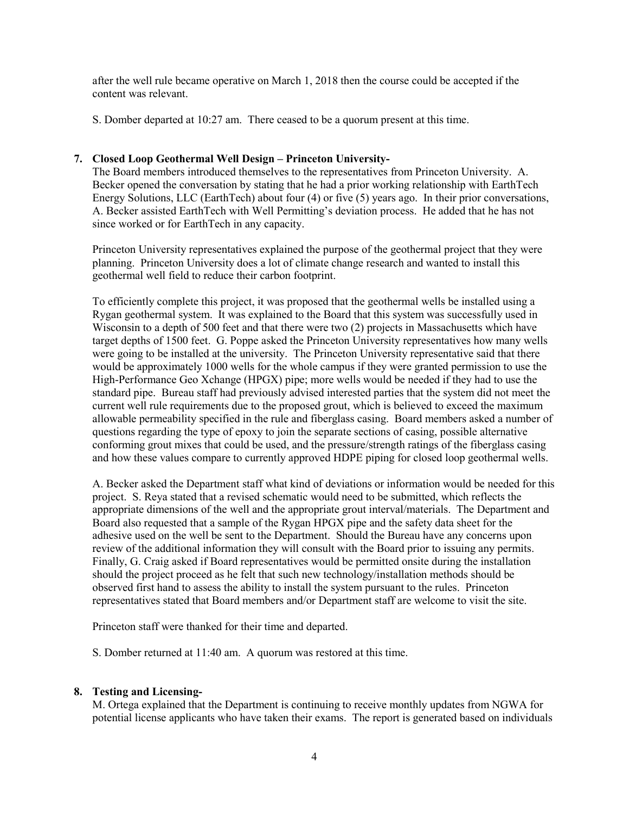after the well rule became operative on March 1, 2018 then the course could be accepted if the content was relevant.

S. Domber departed at 10:27 am. There ceased to be a quorum present at this time.

# **7. Closed Loop Geothermal Well Design – Princeton University-**

The Board members introduced themselves to the representatives from Princeton University. A. Becker opened the conversation by stating that he had a prior working relationship with EarthTech Energy Solutions, LLC (EarthTech) about four (4) or five (5) years ago. In their prior conversations, A. Becker assisted EarthTech with Well Permitting's deviation process. He added that he has not since worked or for EarthTech in any capacity.

Princeton University representatives explained the purpose of the geothermal project that they were planning. Princeton University does a lot of climate change research and wanted to install this geothermal well field to reduce their carbon footprint.

To efficiently complete this project, it was proposed that the geothermal wells be installed using a Rygan geothermal system. It was explained to the Board that this system was successfully used in Wisconsin to a depth of 500 feet and that there were two (2) projects in Massachusetts which have target depths of 1500 feet. G. Poppe asked the Princeton University representatives how many wells were going to be installed at the university. The Princeton University representative said that there would be approximately 1000 wells for the whole campus if they were granted permission to use the High-Performance Geo Xchange (HPGX) pipe; more wells would be needed if they had to use the standard pipe. Bureau staff had previously advised interested parties that the system did not meet the current well rule requirements due to the proposed grout, which is believed to exceed the maximum allowable permeability specified in the rule and fiberglass casing. Board members asked a number of questions regarding the type of epoxy to join the separate sections of casing, possible alternative conforming grout mixes that could be used, and the pressure/strength ratings of the fiberglass casing and how these values compare to currently approved HDPE piping for closed loop geothermal wells.

A. Becker asked the Department staff what kind of deviations or information would be needed for this project. S. Reya stated that a revised schematic would need to be submitted, which reflects the appropriate dimensions of the well and the appropriate grout interval/materials. The Department and Board also requested that a sample of the Rygan HPGX pipe and the safety data sheet for the adhesive used on the well be sent to the Department. Should the Bureau have any concerns upon review of the additional information they will consult with the Board prior to issuing any permits. Finally, G. Craig asked if Board representatives would be permitted onsite during the installation should the project proceed as he felt that such new technology/installation methods should be observed first hand to assess the ability to install the system pursuant to the rules. Princeton representatives stated that Board members and/or Department staff are welcome to visit the site.

Princeton staff were thanked for their time and departed.

S. Domber returned at 11:40 am. A quorum was restored at this time.

# **8. Testing and Licensing-**

M. Ortega explained that the Department is continuing to receive monthly updates from NGWA for potential license applicants who have taken their exams. The report is generated based on individuals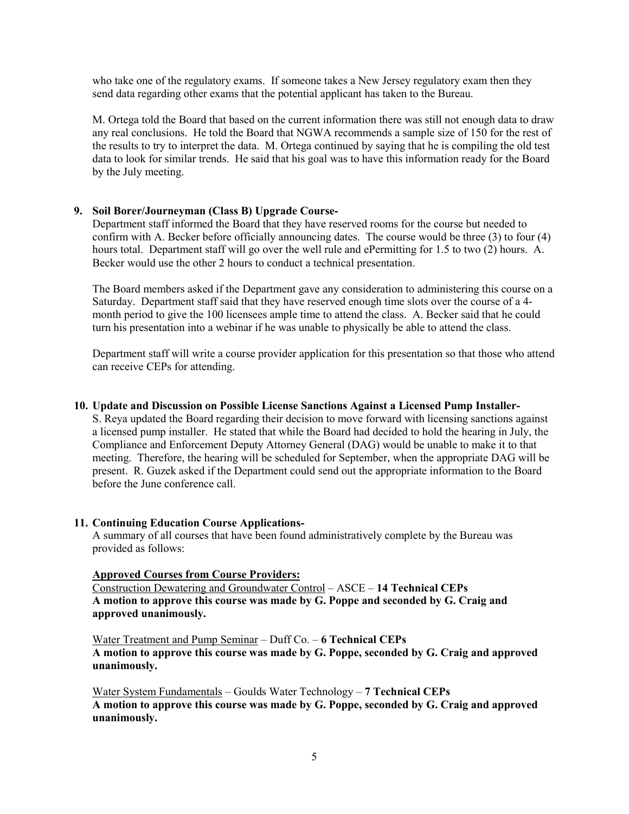who take one of the regulatory exams. If someone takes a New Jersey regulatory exam then they send data regarding other exams that the potential applicant has taken to the Bureau.

M. Ortega told the Board that based on the current information there was still not enough data to draw any real conclusions. He told the Board that NGWA recommends a sample size of 150 for the rest of the results to try to interpret the data. M. Ortega continued by saying that he is compiling the old test data to look for similar trends. He said that his goal was to have this information ready for the Board by the July meeting.

#### **9. Soil Borer/Journeyman (Class B) Upgrade Course-**

Department staff informed the Board that they have reserved rooms for the course but needed to confirm with A. Becker before officially announcing dates. The course would be three (3) to four (4) hours total. Department staff will go over the well rule and ePermitting for 1.5 to two (2) hours. A. Becker would use the other 2 hours to conduct a technical presentation.

The Board members asked if the Department gave any consideration to administering this course on a Saturday. Department staff said that they have reserved enough time slots over the course of a 4 month period to give the 100 licensees ample time to attend the class. A. Becker said that he could turn his presentation into a webinar if he was unable to physically be able to attend the class.

Department staff will write a course provider application for this presentation so that those who attend can receive CEPs for attending.

#### **10. Update and Discussion on Possible License Sanctions Against a Licensed Pump Installer-**

S. Reya updated the Board regarding their decision to move forward with licensing sanctions against a licensed pump installer. He stated that while the Board had decided to hold the hearing in July, the Compliance and Enforcement Deputy Attorney General (DAG) would be unable to make it to that meeting. Therefore, the hearing will be scheduled for September, when the appropriate DAG will be present. R. Guzek asked if the Department could send out the appropriate information to the Board before the June conference call.

# **11. Continuing Education Course Applications-**

A summary of all courses that have been found administratively complete by the Bureau was provided as follows:

#### **Approved Courses from Course Providers:**

Construction Dewatering and Groundwater Control – ASCE – **14 Technical CEPs A motion to approve this course was made by G. Poppe and seconded by G. Craig and approved unanimously.**

Water Treatment and Pump Seminar – Duff Co. – **6 Technical CEPs A motion to approve this course was made by G. Poppe, seconded by G. Craig and approved unanimously.**

Water System Fundamentals – Goulds Water Technology – **7 Technical CEPs A motion to approve this course was made by G. Poppe, seconded by G. Craig and approved unanimously.**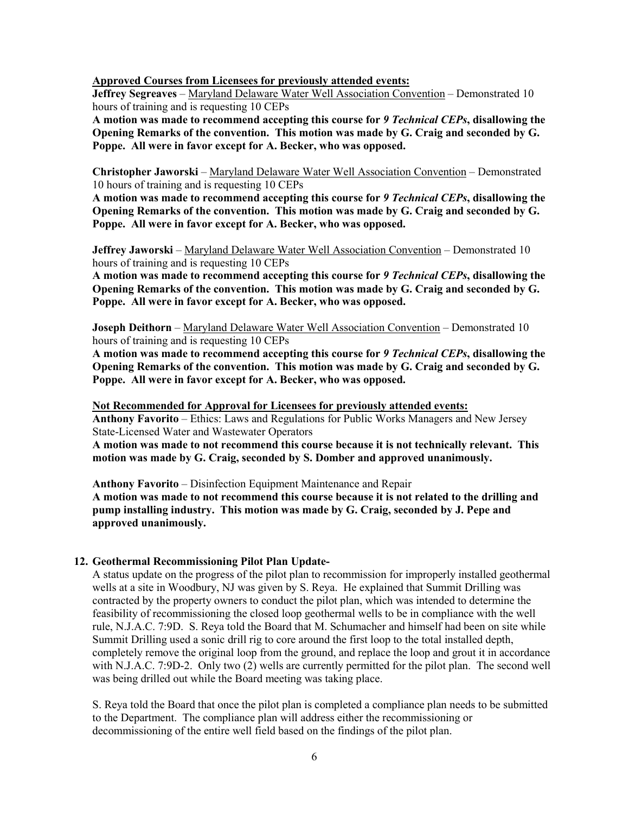**Approved Courses from Licensees for previously attended events:**

**Jeffrey Segreaves** – Maryland Delaware Water Well Association Convention – Demonstrated 10 hours of training and is requesting 10 CEPs

**A motion was made to recommend accepting this course for** *9 Technical CEPs***, disallowing the Opening Remarks of the convention. This motion was made by G. Craig and seconded by G. Poppe. All were in favor except for A. Becker, who was opposed.**

**Christopher Jaworski** – Maryland Delaware Water Well Association Convention – Demonstrated 10 hours of training and is requesting 10 CEPs

**A motion was made to recommend accepting this course for** *9 Technical CEPs***, disallowing the Opening Remarks of the convention. This motion was made by G. Craig and seconded by G. Poppe. All were in favor except for A. Becker, who was opposed.**

**Jeffrey Jaworski** – Maryland Delaware Water Well Association Convention – Demonstrated 10 hours of training and is requesting 10 CEPs

**A motion was made to recommend accepting this course for** *9 Technical CEPs***, disallowing the Opening Remarks of the convention. This motion was made by G. Craig and seconded by G. Poppe. All were in favor except for A. Becker, who was opposed.**

**Joseph Deithorn** – Maryland Delaware Water Well Association Convention – Demonstrated 10 hours of training and is requesting 10 CEPs

**A motion was made to recommend accepting this course for** *9 Technical CEPs***, disallowing the Opening Remarks of the convention. This motion was made by G. Craig and seconded by G. Poppe. All were in favor except for A. Becker, who was opposed.**

**Not Recommended for Approval for Licensees for previously attended events:**

**Anthony Favorito** – Ethics: Laws and Regulations for Public Works Managers and New Jersey State-Licensed Water and Wastewater Operators

**A motion was made to not recommend this course because it is not technically relevant. This motion was made by G. Craig, seconded by S. Domber and approved unanimously.**

**Anthony Favorito** – Disinfection Equipment Maintenance and Repair **A motion was made to not recommend this course because it is not related to the drilling and pump installing industry. This motion was made by G. Craig, seconded by J. Pepe and approved unanimously.**

#### **12. Geothermal Recommissioning Pilot Plan Update-**

A status update on the progress of the pilot plan to recommission for improperly installed geothermal wells at a site in Woodbury, NJ was given by S. Reya. He explained that Summit Drilling was contracted by the property owners to conduct the pilot plan, which was intended to determine the feasibility of recommissioning the closed loop geothermal wells to be in compliance with the well rule, N.J.A.C. 7:9D. S. Reya told the Board that M. Schumacher and himself had been on site while Summit Drilling used a sonic drill rig to core around the first loop to the total installed depth, completely remove the original loop from the ground, and replace the loop and grout it in accordance with N.J.A.C. 7:9D-2. Only two (2) wells are currently permitted for the pilot plan. The second well was being drilled out while the Board meeting was taking place.

S. Reya told the Board that once the pilot plan is completed a compliance plan needs to be submitted to the Department. The compliance plan will address either the recommissioning or decommissioning of the entire well field based on the findings of the pilot plan.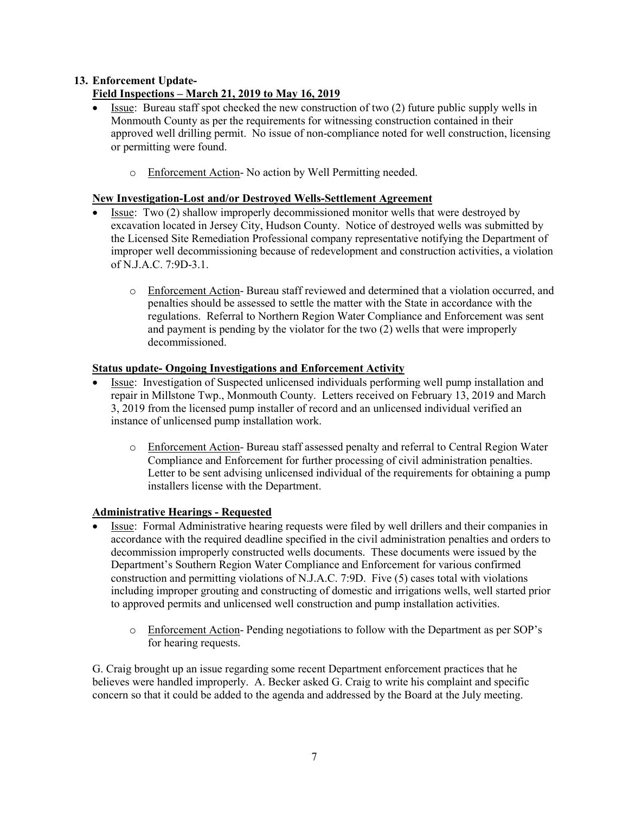# **13. Enforcement Update-**

# **Field Inspections – March 21, 2019 to May 16, 2019**

- Issue: Bureau staff spot checked the new construction of two (2) future public supply wells in Monmouth County as per the requirements for witnessing construction contained in their approved well drilling permit. No issue of non-compliance noted for well construction, licensing or permitting were found.
	- o Enforcement Action- No action by Well Permitting needed.

# **New Investigation-Lost and/or Destroyed Wells-Settlement Agreement**

- Issue: Two (2) shallow improperly decommissioned monitor wells that were destroyed by excavation located in Jersey City, Hudson County. Notice of destroyed wells was submitted by the Licensed Site Remediation Professional company representative notifying the Department of improper well decommissioning because of redevelopment and construction activities, a violation of N.J.A.C. 7:9D-3.1.
	- o Enforcement Action- Bureau staff reviewed and determined that a violation occurred, and penalties should be assessed to settle the matter with the State in accordance with the regulations. Referral to Northern Region Water Compliance and Enforcement was sent and payment is pending by the violator for the two (2) wells that were improperly decommissioned.

# **Status update- Ongoing Investigations and Enforcement Activity**

- Issue: Investigation of Suspected unlicensed individuals performing well pump installation and repair in Millstone Twp., Monmouth County. Letters received on February 13, 2019 and March 3, 2019 from the licensed pump installer of record and an unlicensed individual verified an instance of unlicensed pump installation work.
	- o Enforcement Action- Bureau staff assessed penalty and referral to Central Region Water Compliance and Enforcement for further processing of civil administration penalties. Letter to be sent advising unlicensed individual of the requirements for obtaining a pump installers license with the Department.

# **Administrative Hearings - Requested**

- Issue: Formal Administrative hearing requests were filed by well drillers and their companies in accordance with the required deadline specified in the civil administration penalties and orders to decommission improperly constructed wells documents. These documents were issued by the Department's Southern Region Water Compliance and Enforcement for various confirmed construction and permitting violations of N.J.A.C. 7:9D. Five (5) cases total with violations including improper grouting and constructing of domestic and irrigations wells, well started prior to approved permits and unlicensed well construction and pump installation activities.
	- o Enforcement Action- Pending negotiations to follow with the Department as per SOP's for hearing requests.

G. Craig brought up an issue regarding some recent Department enforcement practices that he believes were handled improperly. A. Becker asked G. Craig to write his complaint and specific concern so that it could be added to the agenda and addressed by the Board at the July meeting.